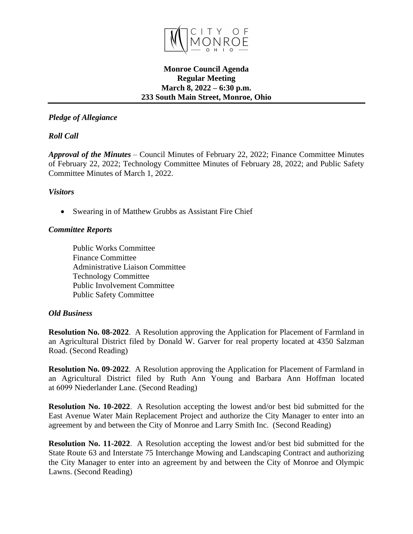

### **Monroe Council Agenda Regular Meeting March 8, 2022 – 6:30 p.m. 233 South Main Street, Monroe, Ohio**

# *Pledge of Allegiance*

# *Roll Call*

*Approval of the Minutes* – Council Minutes of February 22, 2022; Finance Committee Minutes of February 22, 2022; Technology Committee Minutes of February 28, 2022; and Public Safety Committee Minutes of March 1, 2022.

### *Visitors*

• Swearing in of Matthew Grubbs as Assistant Fire Chief

## *Committee Reports*

Public Works Committee Finance Committee Administrative Liaison Committee Technology Committee Public Involvement Committee Public Safety Committee

## *Old Business*

**Resolution No. 08-2022**. A Resolution approving the Application for Placement of Farmland in an Agricultural District filed by Donald W. Garver for real property located at 4350 Salzman Road. (Second Reading)

**Resolution No. 09-2022**. A Resolution approving the Application for Placement of Farmland in an Agricultural District filed by Ruth Ann Young and Barbara Ann Hoffman located at 6099 Niederlander Lane. (Second Reading)

**Resolution No. 10-2022**. A Resolution accepting the lowest and/or best bid submitted for the East Avenue Water Main Replacement Project and authorize the City Manager to enter into an agreement by and between the City of Monroe and Larry Smith Inc. (Second Reading)

**Resolution No. 11-2022**. A Resolution accepting the lowest and/or best bid submitted for the State Route 63 and Interstate 75 Interchange Mowing and Landscaping Contract and authorizing the City Manager to enter into an agreement by and between the City of Monroe and Olympic Lawns. (Second Reading)